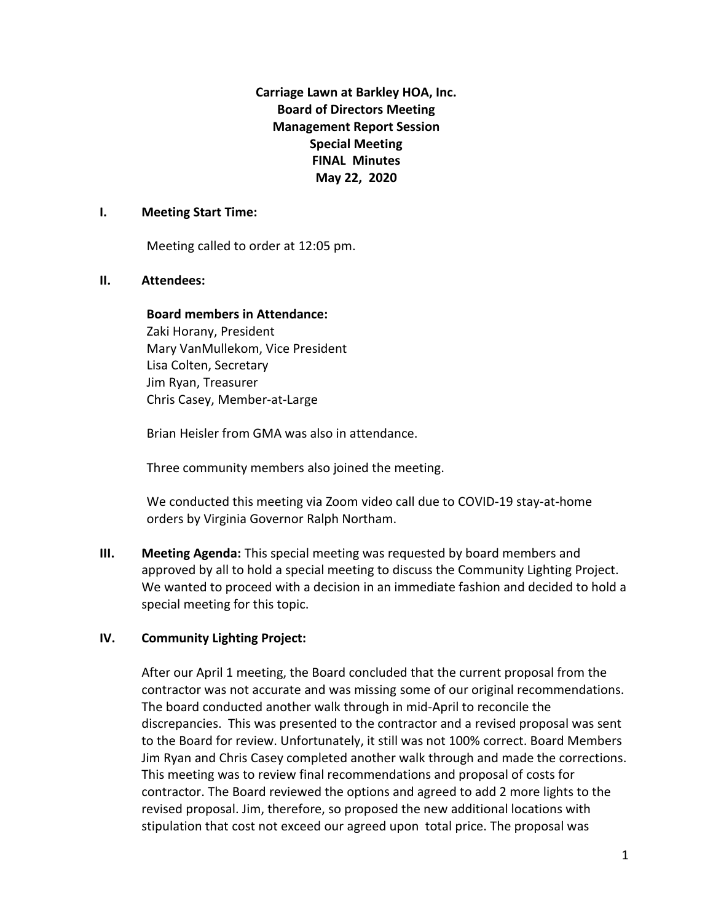**Carriage Lawn at Barkley HOA, Inc. Board of Directors Meeting Management Report Session Special Meeting FINAL Minutes May 22, 2020**

#### **I. Meeting Start Time:**

Meeting called to order at 12:05 pm.

### **II. Attendees:**

### **Board members in Attendance:**

Zaki Horany, President Mary VanMullekom, Vice President Lisa Colten, Secretary Jim Ryan, Treasurer Chris Casey, Member-at-Large

Brian Heisler from GMA was also in attendance.

Three community members also joined the meeting.

We conducted this meeting via Zoom video call due to COVID-19 stay-at-home orders by Virginia Governor Ralph Northam.

**III. Meeting Agenda:** This special meeting was requested by board members and approved by all to hold a special meeting to discuss the Community Lighting Project. We wanted to proceed with a decision in an immediate fashion and decided to hold a special meeting for this topic.

# **IV. Community Lighting Project:**

After our April 1 meeting, the Board concluded that the current proposal from the contractor was not accurate and was missing some of our original recommendations. The board conducted another walk through in mid-April to reconcile the discrepancies. This was presented to the contractor and a revised proposal was sent to the Board for review. Unfortunately, it still was not 100% correct. Board Members Jim Ryan and Chris Casey completed another walk through and made the corrections. This meeting was to review final recommendations and proposal of costs for contractor. The Board reviewed the options and agreed to add 2 more lights to the revised proposal. Jim, therefore, so proposed the new additional locations with stipulation that cost not exceed our agreed upon total price. The proposal was